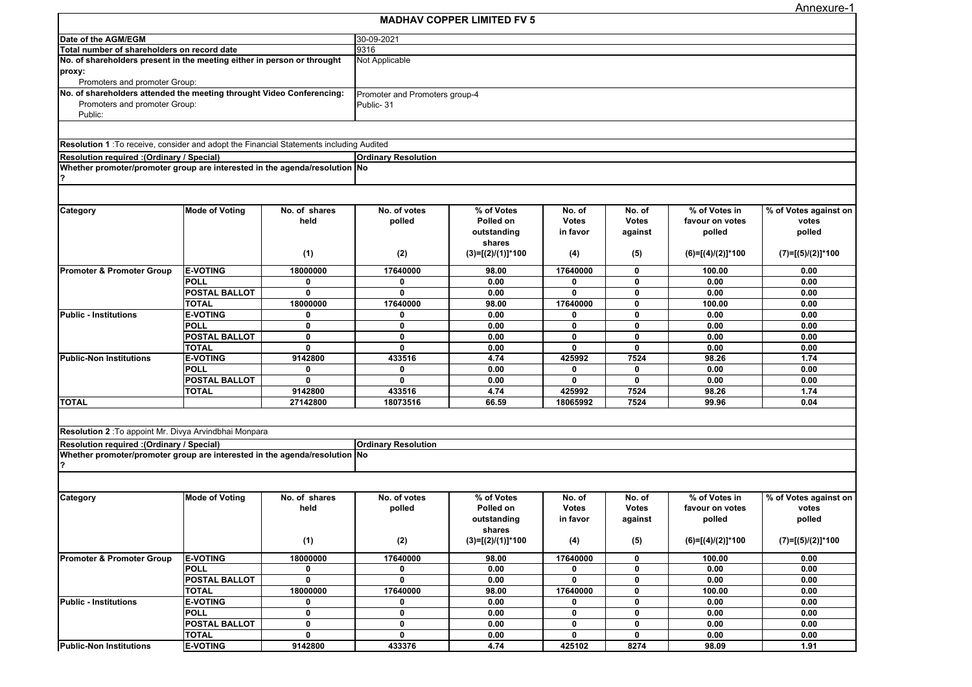Annexure-1

|                                                                                         |                       |                |                                | <b>MADHAV COPPER LIMITED FV 5</b> |              |              |                     |                       |  |
|-----------------------------------------------------------------------------------------|-----------------------|----------------|--------------------------------|-----------------------------------|--------------|--------------|---------------------|-----------------------|--|
| Date of the AGM/EGM                                                                     |                       |                | 30-09-2021                     |                                   |              |              |                     |                       |  |
| Total number of shareholders on record date                                             |                       | 9316           |                                |                                   |              |              |                     |                       |  |
| No. of shareholders present in the meeting either in person or throught                 |                       | Not Applicable |                                |                                   |              |              |                     |                       |  |
| proxy:                                                                                  |                       |                |                                |                                   |              |              |                     |                       |  |
| Promoters and promoter Group:                                                           |                       |                |                                |                                   |              |              |                     |                       |  |
| No. of shareholders attended the meeting throught Video Conferencing:                   |                       |                | Promoter and Promoters group-4 |                                   |              |              |                     |                       |  |
| Promoters and promoter Group:                                                           |                       |                | Public-31                      |                                   |              |              |                     |                       |  |
| Public:                                                                                 |                       |                |                                |                                   |              |              |                     |                       |  |
|                                                                                         |                       |                |                                |                                   |              |              |                     |                       |  |
|                                                                                         |                       |                |                                |                                   |              |              |                     |                       |  |
| Resolution 1: To receive, consider and adopt the Financial Statements including Audited |                       |                |                                |                                   |              |              |                     |                       |  |
| <b>Resolution required: (Ordinary / Special)</b>                                        |                       |                | <b>Ordinary Resolution</b>     |                                   |              |              |                     |                       |  |
| Whether promoter/promoter group are interested in the agenda/resolution No              |                       |                |                                |                                   |              |              |                     |                       |  |
|                                                                                         |                       |                |                                |                                   |              |              |                     |                       |  |
|                                                                                         |                       |                |                                |                                   |              |              |                     |                       |  |
|                                                                                         |                       |                |                                |                                   |              |              |                     |                       |  |
| Category                                                                                | <b>Mode of Voting</b> | No. of shares  | No. of votes                   | % of Votes                        | No. of       | No. of       | % of Votes in       | % of Votes against on |  |
|                                                                                         |                       | held           | polled                         | Polled on                         | <b>Votes</b> | <b>Votes</b> | favour on votes     | votes                 |  |
|                                                                                         |                       |                |                                | outstanding                       | in favor     | against      | polled              | polled                |  |
|                                                                                         |                       |                |                                | shares                            |              |              |                     |                       |  |
|                                                                                         |                       | (1)            | (2)                            | $(3)=[(2)/(1)]*100$               | (4)          | (5)          | $(6)=[(4)/(2)]*100$ | $(7)=[(5)/(2)]*100$   |  |
| <b>Promoter &amp; Promoter Group</b>                                                    | <b>E-VOTING</b>       | 18000000       | 17640000                       | 98.00                             | 17640000     | 0            | 100.00              | 0.00                  |  |
|                                                                                         | <b>POLL</b>           | 0              | 0                              | 0.00                              | 0            | 0            | 0.00                | 0.00                  |  |
|                                                                                         | <b>POSTAL BALLOT</b>  | $\mathbf 0$    | $\mathbf{0}$                   | 0.00                              | $\mathbf{0}$ | 0            | 0.00                | 0.00                  |  |
|                                                                                         | <b>TOTAL</b>          | 18000000       | 17640000                       | 98.00                             | 17640000     | 0            | 100.00              | 0.00                  |  |
| <b>Public - Institutions</b>                                                            | <b>E-VOTING</b>       | $\mathbf{0}$   | 0                              | 0.00                              | $\mathbf{0}$ | 0            | 0.00                | 0.00                  |  |
|                                                                                         | <b>POLL</b>           | $\mathbf 0$    | $\mathbf 0$                    | 0.00                              | 0            | 0            | 0.00                | 0.00                  |  |
|                                                                                         | <b>POSTAL BALLOT</b>  | $\mathbf 0$    | $\mathbf 0$                    | 0.00                              | $\mathbf 0$  | 0            | 0.00                | 0.00                  |  |
|                                                                                         | <b>TOTAL</b>          | $\mathbf{0}$   | $\mathbf{0}$                   | 0.00                              | $\mathbf{0}$ | $\mathbf{0}$ | 0.00                | 0.00                  |  |
| <b>Public-Non Institutions</b>                                                          | <b>E-VOTING</b>       | 9142800        | 433516                         | 4.74                              | 425992       | 7524         | 98.26               | 1.74                  |  |
|                                                                                         | <b>POLL</b>           | $\mathbf 0$    | 0                              | 0.00                              | 0            | 0            | 0.00                | 0.00                  |  |
|                                                                                         | <b>POSTAL BALLOT</b>  | $\mathbf{0}$   | 0                              | 0.00                              | 0            | 0            | 0.00                | 0.00                  |  |
|                                                                                         | <b>TOTAL</b>          | 9142800        | 433516                         | 4.74                              | 425992       | 7524         | 98.26               | 1.74                  |  |
| <b>TOTAL</b>                                                                            |                       | 27142800       | 18073516                       | 66.59                             | 18065992     | 7524         | 99.96               | 0.04                  |  |
|                                                                                         |                       |                |                                |                                   |              |              |                     |                       |  |
|                                                                                         |                       |                |                                |                                   |              |              |                     |                       |  |
| Resolution 2 : To appoint Mr. Divya Arvindbhai Monpara                                  |                       |                |                                |                                   |              |              |                     |                       |  |
| <b>Resolution required: (Ordinary / Special)</b>                                        |                       |                | <b>Ordinary Resolution</b>     |                                   |              |              |                     |                       |  |
| Whether promoter/promoter group are interested in the agenda/resolution No              |                       |                |                                |                                   |              |              |                     |                       |  |
|                                                                                         |                       |                |                                |                                   |              |              |                     |                       |  |
|                                                                                         |                       |                |                                |                                   |              |              |                     |                       |  |
|                                                                                         |                       |                |                                |                                   |              |              |                     |                       |  |
| Category                                                                                | <b>Mode of Voting</b> | No. of shares  | No. of votes                   | % of Votes                        | No. of       | No. of       | % of Votes in       | % of Votes against on |  |
|                                                                                         |                       | held           | polled                         | Polled on                         | <b>Votes</b> | <b>Votes</b> | favour on votes     | votes                 |  |
|                                                                                         |                       |                |                                | outstanding                       | in favor     | against      | polled              | polled                |  |
|                                                                                         |                       |                |                                | shares                            |              |              |                     |                       |  |
|                                                                                         |                       | (1)            | (2)                            | $(3)=[(2)/(1)]*100$               | (4)          | (5)          | $(6)=[(4)/(2)]*100$ | $(7)=[(5)/(2)]*100$   |  |
|                                                                                         |                       |                |                                |                                   |              |              |                     |                       |  |
| <b>Promoter &amp; Promoter Group</b>                                                    | <b>E-VOTING</b>       | 18000000       | 17640000                       | 98.00                             | 17640000     | 0            | 100.00              | 0.00                  |  |
|                                                                                         | <b>POLL</b>           | 0              | 0                              | 0.00                              | 0            | 0            | 0.00                | 0.00                  |  |
|                                                                                         | <b>POSTAL BALLOT</b>  | $\mathbf 0$    | 0                              | 0.00                              | 0            | 0            | 0.00                | 0.00                  |  |
|                                                                                         | <b>TOTAL</b>          | 18000000       | 17640000                       | 98.00                             | 17640000     | 0            | 100.00              | 0.00                  |  |
| <b>Public - Institutions</b>                                                            | <b>E-VOTING</b>       | 0              | 0                              | 0.00                              | 0            | 0            | 0.00                | 0.00                  |  |
|                                                                                         | <b>POLL</b>           | $\mathbf 0$    | 0                              | 0.00                              | 0            | 0            | 0.00                | 0.00                  |  |
|                                                                                         | <b>POSTAL BALLOT</b>  | 0              | 0                              | 0.00                              | 0            | 0            | 0.00                | 0.00                  |  |
|                                                                                         | TOTAL                 | $\mathbf 0$    | 0                              | 0.00                              | 0            | 0            | 0.00                | 0.00                  |  |
| <b>Public-Non Institutions</b>                                                          | <b>E-VOTING</b>       | 9142800        | 433376                         | 4.74                              | 425102       | 8274         | 98.09               | 1.91                  |  |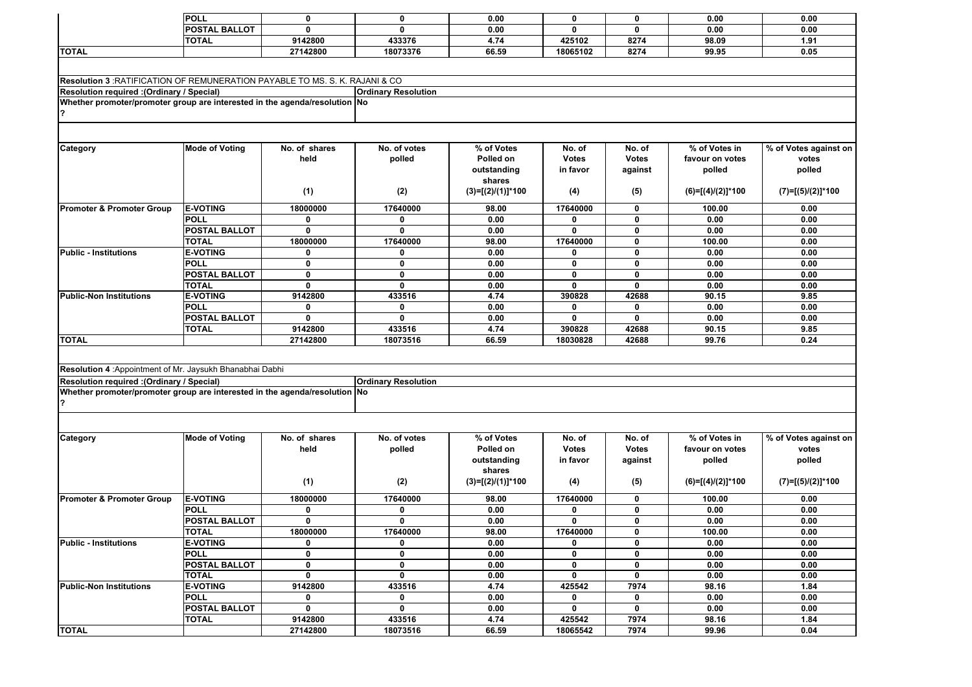|                                                                                     | POLL                  | $\mathbf 0$   | $\mathbf 0$                | 0.00                | $\mathbf 0$  | 0            | 0.00                | 0.00                  |
|-------------------------------------------------------------------------------------|-----------------------|---------------|----------------------------|---------------------|--------------|--------------|---------------------|-----------------------|
|                                                                                     |                       | 0             | $\mathbf{0}$               |                     | $\mathbf{0}$ | 0            |                     |                       |
|                                                                                     | <b>POSTAL BALLOT</b>  |               |                            | 0.00                |              |              | 0.00                | 0.00                  |
|                                                                                     | <b>TOTAL</b>          | 9142800       | 433376                     | 4.74                | 425102       | 8274         | 98.09               | 1.91                  |
| <b>TOTAL</b>                                                                        |                       | 27142800      | 18073376                   | 66.59               | 18065102     | 8274         | 99.95               | 0.05                  |
|                                                                                     |                       |               |                            |                     |              |              |                     |                       |
|                                                                                     |                       |               |                            |                     |              |              |                     |                       |
| <b>Resolution 3</b> : RATIFICATION OF REMUNERATION PAYABLE TO MS. S. K. RAJANI & CO |                       |               |                            |                     |              |              |                     |                       |
| (Ordinary / Special): Resolution required                                           |                       |               | <b>Ordinary Resolution</b> |                     |              |              |                     |                       |
| Whether promoter/promoter group are interested in the agenda/resolution No          |                       |               |                            |                     |              |              |                     |                       |
|                                                                                     |                       |               |                            |                     |              |              |                     |                       |
|                                                                                     |                       |               |                            |                     |              |              |                     |                       |
|                                                                                     |                       |               |                            |                     |              |              |                     |                       |
| Category                                                                            | <b>Mode of Voting</b> | No. of shares | No. of votes               | % of Votes          | No. of       | No. of       | % of Votes in       | % of Votes against on |
|                                                                                     |                       | held          | polled                     | Polled on           | <b>Votes</b> | <b>Votes</b> | favour on votes     | votes                 |
|                                                                                     |                       |               |                            | outstanding         | in favor     | against      | polled              | polled                |
|                                                                                     |                       |               |                            | shares              |              |              |                     |                       |
|                                                                                     |                       | (1)           | (2)                        | $(3)=[(2)/(1)]*100$ | (4)          | (5)          | $(6)=[(4)/(2)]*100$ | $(7)=[(5)/(2)]*100$   |
|                                                                                     |                       |               |                            |                     |              |              |                     |                       |
| <b>Promoter &amp; Promoter Group</b>                                                | <b>E-VOTING</b>       | 18000000      | 17640000                   | 98.00               | 17640000     | 0            | 100.00              | 0.00                  |
|                                                                                     | <b>POLL</b>           | 0             | 0                          | 0.00                | 0            | 0            | 0.00                | 0.00                  |
|                                                                                     | <b>POSTAL BALLOT</b>  | 0             | $\mathbf{0}$               | 0.00                | $\mathbf{0}$ | 0            | 0.00                | 0.00                  |
|                                                                                     | <b>TOTAL</b>          | 18000000      | 17640000                   | 98.00               | 17640000     | 0            | 100.00              | 0.00                  |
| Public - Institutions                                                               | <b>E-VOTING</b>       | 0             | 0                          | 0.00                | 0            | $\mathbf{0}$ | 0.00                | 0.00                  |
|                                                                                     | <b>POLL</b>           | $\mathbf 0$   | 0                          | 0.00                | 0            | 0            | 0.00                | 0.00                  |
|                                                                                     | POSTAL BALLOT         | $\mathbf 0$   | $\mathbf 0$                | 0.00                | 0            | 0            | 0.00                | 0.00                  |
|                                                                                     | <b>TOTAL</b>          | $\mathbf{0}$  | 0                          | 0.00                | $\mathbf{0}$ | 0            | 0.00                | 0.00                  |
| <b>Public-Non Institutions</b>                                                      | <b>E-VOTING</b>       | 9142800       | 433516                     | 4.74                | 390828       | 42688        | 90.15               | 9.85                  |
|                                                                                     | <b>POLL</b>           | 0             | 0                          | 0.00                | 0            | 0            | 0.00                | 0.00                  |
|                                                                                     | <b>POSTAL BALLOT</b>  | $\mathbf 0$   | $\mathbf 0$                | 0.00                | 0            | 0            | 0.00                | 0.00                  |
|                                                                                     |                       |               |                            |                     |              |              |                     |                       |
|                                                                                     | <b>TOTAL</b>          | 9142800       | 433516                     | 4.74                | 390828       | 42688        | 90.15               | 9.85                  |
| <b>TOTAL</b>                                                                        |                       | 27142800      | 18073516                   | 66.59               | 18030828     | 42688        | 99.76               | 0.24                  |
|                                                                                     |                       |               |                            |                     |              |              |                     |                       |
| Resolution 4 : Appointment of Mr. Jaysukh Bhanabhai Dabhi                           |                       |               |                            |                     |              |              |                     |                       |
|                                                                                     |                       |               |                            |                     |              |              |                     |                       |
| (Ordinary / Special): Resolution required                                           |                       |               | <b>Ordinary Resolution</b> |                     |              |              |                     |                       |
| Whether promoter/promoter group are interested in the agenda/resolution No          |                       |               |                            |                     |              |              |                     |                       |
|                                                                                     |                       |               |                            |                     |              |              |                     |                       |
|                                                                                     |                       |               |                            |                     |              |              |                     |                       |
|                                                                                     |                       |               |                            |                     |              |              |                     |                       |
| Category                                                                            | <b>Mode of Voting</b> | No. of shares | No. of votes               | % of Votes          | No. of       | No. of       | % of Votes in       | % of Votes against on |
|                                                                                     |                       | held          | polled                     | Polled on           | <b>Votes</b> | <b>Votes</b> | favour on votes     | votes                 |
|                                                                                     |                       |               |                            | outstanding         | in favor     | against      | polled              | polled                |
|                                                                                     |                       |               |                            | shares              |              |              |                     |                       |
|                                                                                     |                       | (1)           | (2)                        | $(3)=[(2)/(1)]*100$ | (4)          | (5)          | $(6)=[(4)/(2)]*100$ | $(7)=[(5)/(2)]*100$   |
|                                                                                     |                       |               |                            |                     |              |              |                     |                       |
| <b>Promoter &amp; Promoter Group</b>                                                | <b>E-VOTING</b>       | 18000000      | 17640000                   | 98.00               | 17640000     | 0            | 100.00              | 0.00                  |
|                                                                                     | <b>POLL</b>           | 0             | 0                          | 0.00                | 0            | 0            | 0.00                | 0.00                  |
|                                                                                     | <b>POSTAL BALLOT</b>  | $\mathbf 0$   | 0                          | 0.00                | 0            | 0            | 0.00                | 0.00                  |
|                                                                                     | TOTAL                 | 18000000      | 17640000                   | 98.00               | 17640000     | 0            | 100.00              | 0.00                  |
| <b>Public - Institutions</b>                                                        | <b>E-VOTING</b>       | 0             | 0                          | 0.00                | 0            | 0            | 0.00                | 0.00                  |
|                                                                                     | <b>POLL</b>           | 0             | 0                          | 0.00                | 0            | 0            | 0.00                | 0.00                  |
|                                                                                     | POSTAL BALLOT         | 0             | 0                          | 0.00                | 0            | 0            | 0.00                | 0.00                  |
|                                                                                     | <b>TOTAL</b>          | $\mathbf 0$   | $\mathbf 0$                | 0.00                | 0            | 0            | 0.00                | 0.00                  |
| <b>Public-Non Institutions</b>                                                      | <b>E-VOTING</b>       | 9142800       | 433516                     | 4.74                | 425542       | 7974         | 98.16               | 1.84                  |
|                                                                                     | <b>POLL</b>           | 0             | 0                          | 0.00                | 0            | 0            | 0.00                | 0.00                  |
|                                                                                     | <b>POSTAL BALLOT</b>  | $\pmb{0}$     | 0                          | 0.00                | 0            | 0            | 0.00                | 0.00                  |
|                                                                                     | <b>TOTAL</b>          | 9142800       | 433516                     | 4.74                | 425542       | 7974         | 98.16               | 1.84                  |
| <b>TOTAL</b>                                                                        |                       | 27142800      | 18073516                   | 66.59               | 18065542     | 7974         | 99.96               | 0.04                  |
|                                                                                     |                       |               |                            |                     |              |              |                     |                       |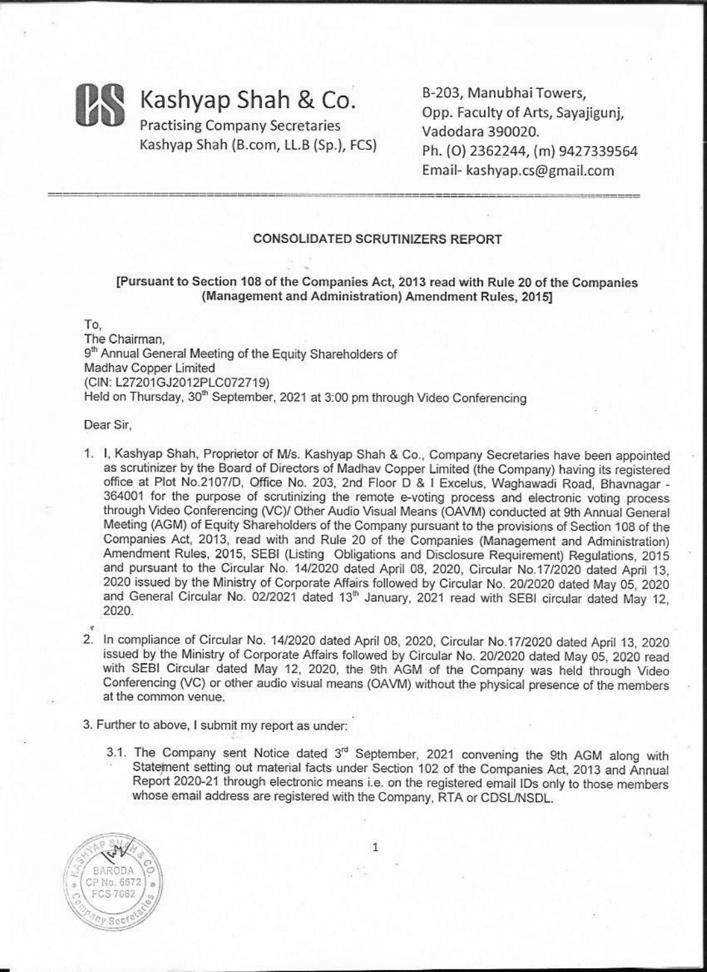

B-203, Manubhai Towers, Opp. Faculty of Arts, Sayajigunj, Vadodara 390020. Ph. (0) 2362244, (m) 9427339564 Email- kashyap.cs@gmail.com

#### **CONSOLIDATED SCRUTINIZERS REPORT**

#### [Pursuant to Section 108 of the Companies Act, 2013 read with Rule 20 of the Companies (Management and Administration) Amendment Rules, 2015]

To. The Chairman. 9<sup>th</sup> Annual General Meeting of the Equity Shareholders of Madhav Copper Limited (CIN: L27201GJ2012PLC072719) Held on Thursday, 30<sup>th</sup> September, 2021 at 3:00 pm through Video Conferencing

#### Dear Sir.

- 1. I. Kashyap Shah, Proprietor of M/s. Kashyap Shah & Co., Company Secretaries have been appointed as scrutinizer by the Board of Directors of Madhav Copper Limited (the Company) having its registered office at Plot No.2107/D, Office No. 203, 2nd Floor D & I Excelus, Waghawadi Road, Bhavnagar -364001 for the purpose of scrutinizing the remote e-voting process and electronic voting process through Video Conferencing (VC)/ Other Audio Visual Means (OAVM) conducted at 9th Annual General Meeting (AGM) of Equity Shareholders of the Company pursuant to the provisions of Section 108 of the Companies Act, 2013, read with and Rule 20 of the Companies (Management and Administration) Amendment Rules, 2015, SEBI (Listing Obligations and Disclosure Requirement) Regulations, 2015 and pursuant to the Circular No. 14/2020 dated April 08, 2020, Circular No.17/2020 dated April 13. 2020 issued by the Ministry of Corporate Affairs followed by Circular No. 20/2020 dated May 05, 2020 and General Circular No. 02/2021 dated 13<sup>th</sup> January, 2021 read with SEBI circular dated May 12, 2020.
- 2. In compliance of Circular No. 14/2020 dated April 08, 2020, Circular No.17/2020 dated April 13, 2020 issued by the Ministry of Corporate Affairs followed by Circular No. 20/2020 dated May 05, 2020 read with SEBI Circular dated May 12, 2020, the 9th AGM of the Company was held through Video Conferencing (VC) or other audio visual means (OAVM) without the physical presence of the members at the common venue.
- 3. Further to above, I submit my report as under:
	- 3.1. The Company sent Notice dated 3rd September, 2021 convening the 9th AGM along with Statement setting out material facts under Section 102 of the Companies Act, 2013 and Annual Report 2020-21 through electronic means i.e. on the registered email IDs only to those members whose email address are registered with the Company, RTA or CDSL/NSDL.

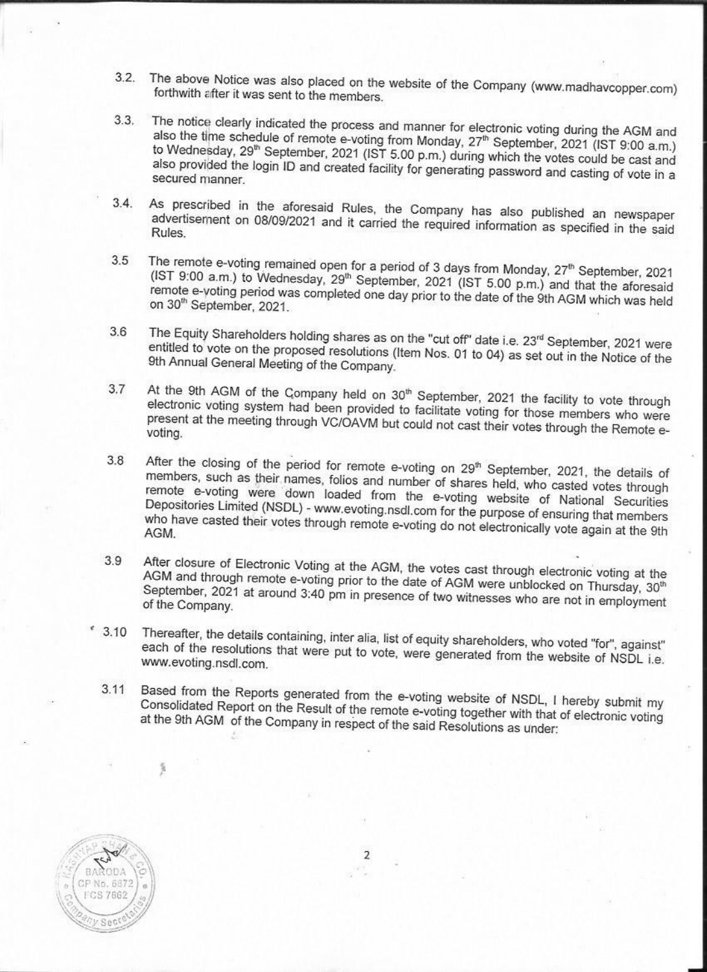- The above Notice was also placed on the website of the Company (www.madhavcopper.com)  $3.2$ forthwith after it was sent to the members.
- The notice clearly indicated the process and manner for electronic voting during the AGM and  $3.3.$ also the time schedule of remote e-voting from Monday, 27<sup>th</sup> September, 2021 (IST 9:00 a.m.) to Wednesday, 29<sup>th</sup> September, 2021 (IST 5.00 p.m.) during which the votes could be cast and also provided the login ID and created facility for generating password and casting of vote in a secured manner.
- As prescribed in the aforesaid Rules, the Company has also published an newspaper  $3.4.$ advertisement on 08/09/2021 and it carried the required information as specified in the said Rules.
- The remote e-voting remained open for a period of 3 days from Monday, 27<sup>th</sup> September, 2021  $3.5$ (IST 9:00 a.m.) to Wednesday, 29<sup>th</sup> September, 2021 (IST 5.00 p.m.) and that the aforesaid remote e-voting period was completed one day prior to the date of the 9th AGM which was held on 30<sup>th</sup> September, 2021.
- The Equity Shareholders holding shares as on the "cut off" date i.e. 23<sup>rd</sup> September, 2021 were 3.6 entitled to vote on the proposed resolutions (Item Nos. 01 to 04) as set out in the Notice of the 9th Annual General Meeting of the Company.
- At the 9th AGM of the Company held on 30<sup>th</sup> September, 2021 the facility to vote through 3.7 electronic voting system had been provided to facilitate voting for those members who were present at the meeting through VC/OAVM but could not cast their votes through the Remote evoting.
- After the closing of the period for remote e-voting on 29<sup>th</sup> September, 2021, the details of 3.8 members, such as their names, folios and number of shares held, who casted votes through remote e-voting were down loaded from the e-voting website of National Securities Depositories Limited (NSDL) - www.evoting.nsdl.com for the purpose of ensuring that members who have casted their votes through remote e-voting do not electronically vote again at the 9th
- After closure of Electronic Voting at the AGM, the votes cast through electronic voting at the  $3.9$ AGM and through remote e-voting prior to the date of AGM were unblocked on Thursday, 30th September, 2021 at around 3:40 pm in presence of two witnesses who are not in employment of the Company.
- $*3.10$ Thereafter, the details containing, inter alia, list of equity shareholders, who voted "for", against" each of the resolutions that were put to vote, were generated from the website of NSDL i.e. www.evoting.nsdl.com.
	- Based from the Reports generated from the e-voting website of NSDL, I hereby submit my  $3.11$ Consolidated Report on the Result of the remote e-voting together with that of electronic voting at the 9th AGM of the Company in respect of the said Resolutions as under:



 $\overline{2}$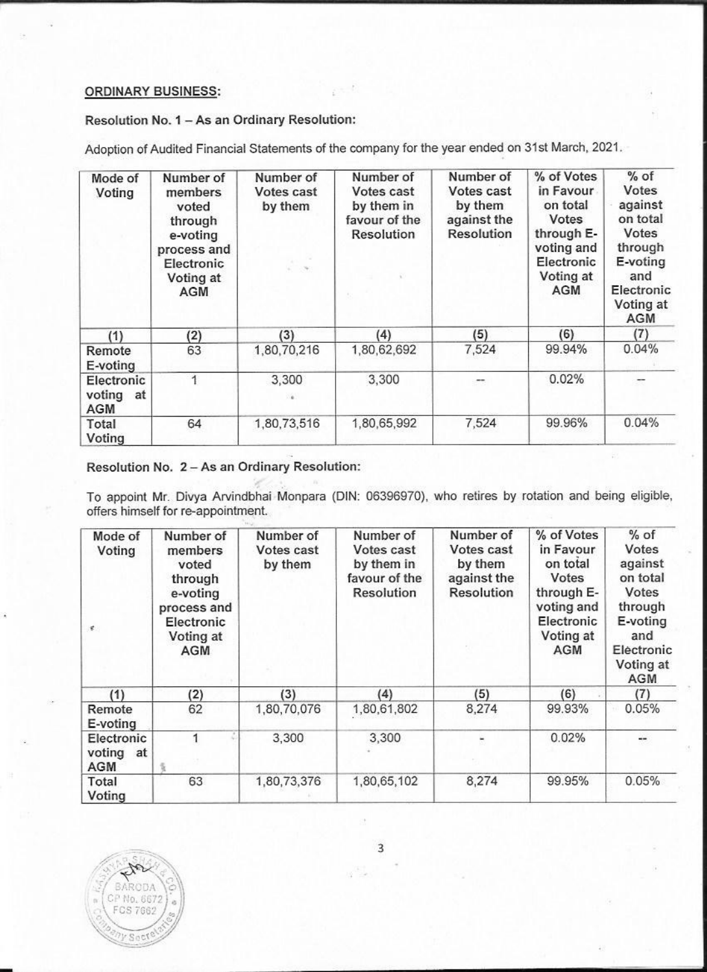#### **ORDINARY BUSINESS:**

Resolution No. 1 - As an Ordinary Resolution:

Adoption of Audited Financial Statements of the company for the year ended on 31st March, 2021.

| Mode of<br>Voting                        | Number of<br>members<br>voted<br>through<br>e-voting<br>process and<br>Electronic<br>Voting at<br>AGM | Number of<br>Votes cast<br>by them<br>$\epsilon = 100$ | Number of<br>Votes cast<br>by them in<br>favour of the<br><b>Resolution</b> | Number of<br>Votes cast<br>by them<br>against the<br>Resolution | % of Votes<br>in Favour<br>on total<br>Votes<br>through E-<br>voting and<br>Electronic<br>Voting at<br>AGM | $%$ of<br>Votes<br>against<br>on total<br>Votes<br>through<br>E-voting<br>and<br>Electronic<br>Voting at<br>AGM |
|------------------------------------------|-------------------------------------------------------------------------------------------------------|--------------------------------------------------------|-----------------------------------------------------------------------------|-----------------------------------------------------------------|------------------------------------------------------------------------------------------------------------|-----------------------------------------------------------------------------------------------------------------|
| (1)                                      | (2)                                                                                                   | (3)                                                    | (4)                                                                         | (5)                                                             | (6)                                                                                                        | (7)                                                                                                             |
| Remote<br>E-voting                       | 63                                                                                                    | 1,80,70,216                                            | 1,80,62,692                                                                 | 7,524                                                           | 99.94%                                                                                                     | 0.04%                                                                                                           |
| Electronic<br>voting<br>at<br><b>AGM</b> |                                                                                                       | 3,300<br>56                                            | 3,300                                                                       | --                                                              | 0.02%                                                                                                      |                                                                                                                 |
| Total<br>Voting                          | 64                                                                                                    | 1,80,73,516                                            | 1,80,65,992                                                                 | 7,524                                                           | 99.96%                                                                                                     | 0.04%                                                                                                           |

## Resolution No. 2 - As an Ordinary Resolution:

To appoint Mr. Divya Arvindbhai Monpara (DIN: 06396970), who retires by rotation and being eligible, offers himself for re-appointment.

| Mode of<br>Voting<br>×.                  | Number of<br>members<br>voted<br>through<br>e-voting<br>process and<br>Electronic<br>Voting at<br>AGM | Number of<br>Votes cast<br>by them | Number of<br>Votes cast<br>by them in<br>favour of the<br>Resolution | Number of<br>Votes cast<br>by them<br>against the<br>Resolution | % of Votes<br>in Favour<br>on total<br>Votes<br>through E-<br>voting and<br>Electronic<br>Voting at<br><b>AGM</b> | $%$ of<br>Votes<br>against<br>on total<br>Votes<br>through<br>E-voting<br>and<br>Electronic<br>Voting at<br><b>AGM</b> |
|------------------------------------------|-------------------------------------------------------------------------------------------------------|------------------------------------|----------------------------------------------------------------------|-----------------------------------------------------------------|-------------------------------------------------------------------------------------------------------------------|------------------------------------------------------------------------------------------------------------------------|
| (1)                                      | (2)                                                                                                   | (3)                                | (4)                                                                  | (5)                                                             | (6)                                                                                                               | (7)                                                                                                                    |
| Remote<br>E-voting                       | 62                                                                                                    | 1,80,70,076                        | 1,80,61,802                                                          | 8,274                                                           | 99.93%                                                                                                            | 0.05%                                                                                                                  |
| Electronic<br>voting<br>at<br><b>AGM</b> |                                                                                                       | 3,300                              | 3,300                                                                |                                                                 | 0.02%                                                                                                             | --                                                                                                                     |
| Total<br>Voting                          | 63                                                                                                    | 1,80,73,376                        | 1,80,65,102                                                          | 8,274                                                           | 99.95%                                                                                                            | 0.05%                                                                                                                  |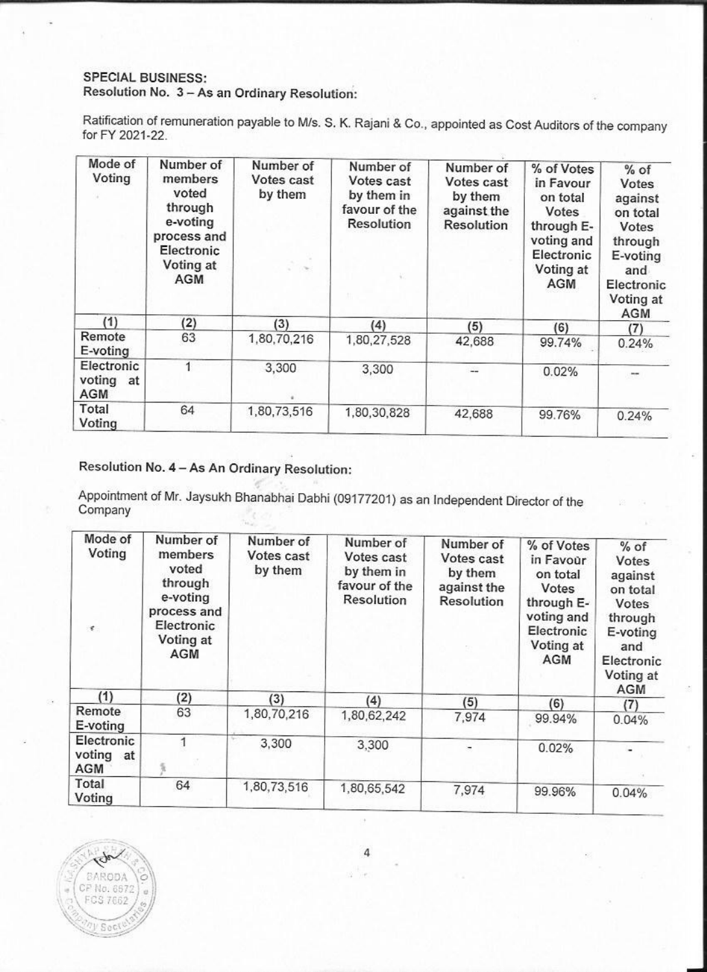### **SPECIAL BUSINESS:** Resolution No. 3 - As an Ordinary Resolution:

Ratification of remuneration payable to M/s. S. K. Rajani & Co., appointed as Cost Auditors of the company for FY 2021-22.

| Mode of<br>Voting                 | Number of<br>members<br>voted<br>through<br>e-voting<br>process and<br>Electronic<br>Voting at<br><b>AGM</b> | Number of<br>Votes cast<br>by them | Number of<br>Votes cast<br>by them in<br>favour of the<br>Resolution | Number of<br>Votes cast<br>by them<br>against the<br>Resolution | % of Votes<br>in Favour<br>on total<br>Votes<br>through E-<br>voting and<br>Electronic<br>Voting at<br>AGM | % of<br>Votes<br>against<br>on total<br>Votes<br>through<br>E-voting<br>and<br>Electronic<br>Voting at<br><b>AGM</b> |
|-----------------------------------|--------------------------------------------------------------------------------------------------------------|------------------------------------|----------------------------------------------------------------------|-----------------------------------------------------------------|------------------------------------------------------------------------------------------------------------|----------------------------------------------------------------------------------------------------------------------|
| (1)                               | (2)                                                                                                          | (3)                                | (4)                                                                  | (5)                                                             | (6)                                                                                                        | (7)                                                                                                                  |
| Remote<br>E-voting                | 63                                                                                                           | 1,80,70,216                        | 1,80,27,528                                                          | 42,688                                                          | 99.74%                                                                                                     | 0.24%                                                                                                                |
| Electronic<br>voting<br>at<br>AGM |                                                                                                              | 3,300                              | 3,300                                                                |                                                                 | 0.02%                                                                                                      | m                                                                                                                    |
| Total<br>Voting                   | 64                                                                                                           | 1,80,73,516                        | 1,80,30,828                                                          | 42,688                                                          | 99.76%                                                                                                     | 0.24%                                                                                                                |

# Resolution No. 4 - As An Ordinary Resolution:

Appointment of Mr. Jaysukh Bhanabhai Dabhi (09177201) as an Independent Director of the Company

| Mode of<br>Voting<br>¥.               | Number of<br>members<br>voted<br>through<br>e-voting<br>process and<br>Electronic<br>Voting at<br>AGM | Number of<br>Votes cast<br>by them | Number of<br>Votes cast<br>by them in<br>favour of the<br>Resolution | Number of<br>Votes cast<br>by them<br>against the<br>Resolution | % of Votes<br>in Favour<br>on total<br>Votes<br>through E-<br>voting and<br>Electronic<br>Voting at<br><b>AGM</b> | $%$ of<br>Votes<br>against<br>on total<br>Votes<br>through<br>E-voting<br>and<br>Electronic<br>Voting at |
|---------------------------------------|-------------------------------------------------------------------------------------------------------|------------------------------------|----------------------------------------------------------------------|-----------------------------------------------------------------|-------------------------------------------------------------------------------------------------------------------|----------------------------------------------------------------------------------------------------------|
| (1)                                   | (2)                                                                                                   | (3)                                | (4)                                                                  | (5)                                                             | (6)                                                                                                               | AGM                                                                                                      |
| Remote<br>E-voting                    | 63                                                                                                    | 1,80,70,216                        | 1,80,62,242                                                          | 7,974                                                           | 99.94%                                                                                                            | (7)<br>0.04%                                                                                             |
| Electronic<br>voting at<br><b>AGM</b> |                                                                                                       | 3,300                              | 3,300                                                                |                                                                 | 0.02%                                                                                                             |                                                                                                          |
| Total<br>Voting                       | 64                                                                                                    | 1,80,73,516                        | 1,80,65,542                                                          | 7,974                                                           | 99.96%                                                                                                            | 0.04%                                                                                                    |



 $\overline{4}$